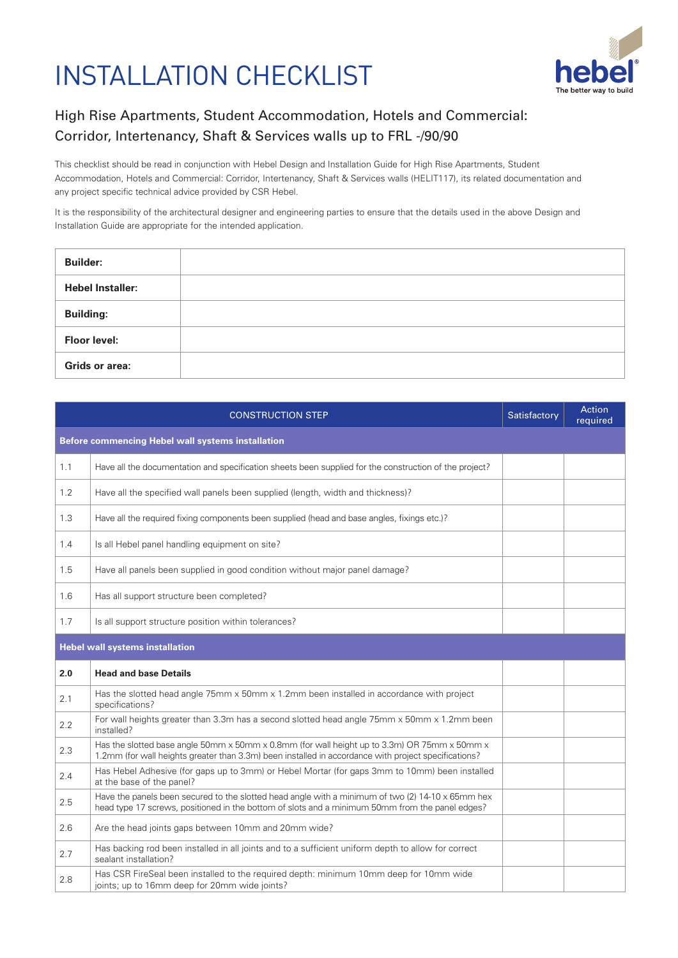## INSTALLATION CHECKLIST



## High Rise Apartments, Student Accommodation, Hotels and Commercial: Corridor, Intertenancy, Shaft & Services walls up to FRL -/90/90

This checklist should be read in conjunction with Hebel Design and Installation Guide for High Rise Apartments, Student Accommodation, Hotels and Commercial: Corridor, Intertenancy, Shaft & Services walls (HELIT117), its related documentation and any project specific technical advice provided by CSR Hebel.

It is the responsibility of the architectural designer and engineering parties to ensure that the details used in the above Design and Installation Guide are appropriate for the intended application.

| <b>Builder:</b>         |  |
|-------------------------|--|
| <b>Hebel Installer:</b> |  |
| <b>Building:</b>        |  |
| <b>Floor level:</b>     |  |
| Grids or area:          |  |

| <b>CONSTRUCTION STEP</b>                          |                                                                                                                                                                                                              | Satisfactory | <b>Action</b><br>required |  |  |  |
|---------------------------------------------------|--------------------------------------------------------------------------------------------------------------------------------------------------------------------------------------------------------------|--------------|---------------------------|--|--|--|
| Before commencing Hebel wall systems installation |                                                                                                                                                                                                              |              |                           |  |  |  |
| 1.1                                               | Have all the documentation and specification sheets been supplied for the construction of the project?                                                                                                       |              |                           |  |  |  |
| 1.2                                               | Have all the specified wall panels been supplied (length, width and thickness)?                                                                                                                              |              |                           |  |  |  |
| 1.3                                               | Have all the required fixing components been supplied (head and base angles, fixings etc.)?                                                                                                                  |              |                           |  |  |  |
| 1.4                                               | Is all Hebel panel handling equipment on site?                                                                                                                                                               |              |                           |  |  |  |
| 1.5                                               | Have all panels been supplied in good condition without major panel damage?                                                                                                                                  |              |                           |  |  |  |
| 1.6                                               | Has all support structure been completed?                                                                                                                                                                    |              |                           |  |  |  |
| 1.7                                               | Is all support structure position within tolerances?                                                                                                                                                         |              |                           |  |  |  |
| <b>Hebel wall systems installation</b>            |                                                                                                                                                                                                              |              |                           |  |  |  |
| 2.0                                               | <b>Head and base Details</b>                                                                                                                                                                                 |              |                           |  |  |  |
| 2.1                                               | Has the slotted head angle 75mm x 50mm x 1.2mm been installed in accordance with project<br>specifications?                                                                                                  |              |                           |  |  |  |
| 2.2                                               | For wall heights greater than 3.3m has a second slotted head angle 75mm x 50mm x 1.2mm been<br>installed?                                                                                                    |              |                           |  |  |  |
| 2.3                                               | Has the slotted base angle 50mm x 50mm x 0.8mm (for wall height up to 3.3m) OR 75mm x 50mm x<br>1.2mm (for wall heights greater than 3.3m) been installed in accordance with project specifications?         |              |                           |  |  |  |
| 2.4                                               | Has Hebel Adhesive (for gaps up to 3mm) or Hebel Mortar (for gaps 3mm to 10mm) been installed<br>at the base of the panel?                                                                                   |              |                           |  |  |  |
| 2.5                                               | Have the panels been secured to the slotted head angle with a minimum of two (2) $14-10 \times 65$ mm hex<br>head type 17 screws, positioned in the bottom of slots and a minimum 50mm from the panel edges? |              |                           |  |  |  |
| 2.6                                               | Are the head joints gaps between 10mm and 20mm wide?                                                                                                                                                         |              |                           |  |  |  |
| 2.7                                               | Has backing rod been installed in all joints and to a sufficient uniform depth to allow for correct<br>sealant installation?                                                                                 |              |                           |  |  |  |
| 2.8                                               | Has CSR FireSeal been installed to the required depth: minimum 10mm deep for 10mm wide<br>joints; up to 16mm deep for 20mm wide joints?                                                                      |              |                           |  |  |  |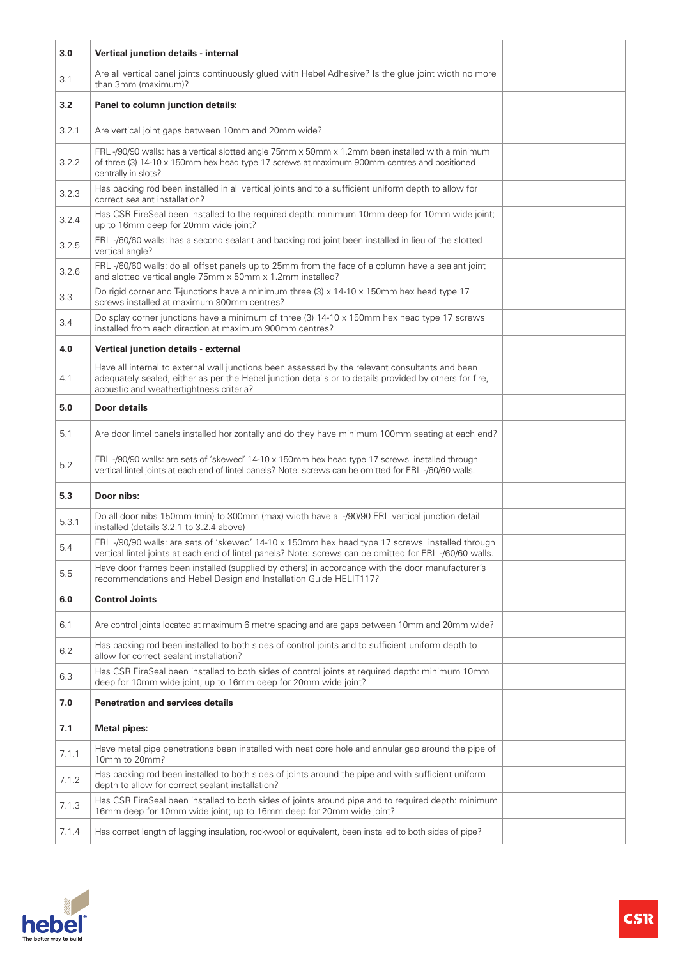| 3.0   | Vertical junction details - internal                                                                                                                                                                                                                 |  |
|-------|------------------------------------------------------------------------------------------------------------------------------------------------------------------------------------------------------------------------------------------------------|--|
| 3.1   | Are all vertical panel joints continuously glued with Hebel Adhesive? Is the glue joint width no more<br>than 3mm (maximum)?                                                                                                                         |  |
| 3.2   | Panel to column junction details:                                                                                                                                                                                                                    |  |
| 3.2.1 | Are vertical joint gaps between 10mm and 20mm wide?                                                                                                                                                                                                  |  |
| 3.2.2 | FRL-/90/90 walls: has a vertical slotted angle 75mm x 50mm x 1.2mm been installed with a minimum<br>of three (3) 14-10 x 150mm hex head type 17 screws at maximum 900mm centres and positioned<br>centrally in slots?                                |  |
| 3.2.3 | Has backing rod been installed in all vertical joints and to a sufficient uniform depth to allow for<br>correct sealant installation?                                                                                                                |  |
| 3.2.4 | Has CSR FireSeal been installed to the required depth: minimum 10mm deep for 10mm wide joint;<br>up to 16mm deep for 20mm wide joint?                                                                                                                |  |
| 3.2.5 | FRL-/60/60 walls: has a second sealant and backing rod joint been installed in lieu of the slotted<br>vertical angle?                                                                                                                                |  |
| 3.2.6 | FRL-/60/60 walls: do all offset panels up to 25mm from the face of a column have a sealant joint<br>and slotted vertical angle 75mm x 50mm x 1.2mm installed?                                                                                        |  |
| 3.3   | Do rigid corner and T-junctions have a minimum three (3) $\times$ 14-10 $\times$ 150mm hex head type 17<br>screws installed at maximum 900mm centres?                                                                                                |  |
| 3.4   | Do splay corner junctions have a minimum of three (3) 14-10 x 150mm hex head type 17 screws<br>installed from each direction at maximum 900mm centres?                                                                                               |  |
| 4.0   | Vertical junction details - external                                                                                                                                                                                                                 |  |
| 4.1   | Have all internal to external wall junctions been assessed by the relevant consultants and been<br>adequately sealed, either as per the Hebel junction details or to details provided by others for fire,<br>acoustic and weathertightness criteria? |  |
| 5.0   | Door details                                                                                                                                                                                                                                         |  |
| 5.1   | Are door lintel panels installed horizontally and do they have minimum 100mm seating at each end?                                                                                                                                                    |  |
| 5.2   | FRL-/90/90 walls: are sets of 'skewed' 14-10 x 150mm hex head type 17 screws installed through<br>vertical lintel joints at each end of lintel panels? Note: screws can be omitted for FRL -/60/60 walls.                                            |  |
| 5.3   | Door nibs:                                                                                                                                                                                                                                           |  |
| 5.3.1 | Do all door nibs 150mm (min) to 300mm (max) width have a -/90/90 FRL vertical junction detail<br>installed (details 3.2.1 to 3.2.4 above)                                                                                                            |  |
| 5.4   | FRL-/90/90 walls: are sets of 'skewed' 14-10 x 150mm hex head type 17 screws installed through<br>vertical lintel joints at each end of lintel panels? Note: screws can be omitted for FRL-/60/60 walls.                                             |  |
| 5.5   | Have door frames been installed (supplied by others) in accordance with the door manufacturer's<br>recommendations and Hebel Design and Installation Guide HELIT117?                                                                                 |  |
| 6.0   | <b>Control Joints</b>                                                                                                                                                                                                                                |  |
| 6.1   | Are control joints located at maximum 6 metre spacing and are gaps between 10mm and 20mm wide?                                                                                                                                                       |  |
| 6.2   | Has backing rod been installed to both sides of control joints and to sufficient uniform depth to<br>allow for correct sealant installation?                                                                                                         |  |
| 6.3   | Has CSR FireSeal been installed to both sides of control joints at required depth: minimum 10mm<br>deep for 10mm wide joint; up to 16mm deep for 20mm wide joint?                                                                                    |  |
| 7.0   | <b>Penetration and services details</b>                                                                                                                                                                                                              |  |
| 7.1   | <b>Metal pipes:</b>                                                                                                                                                                                                                                  |  |
| 7.1.1 | Have metal pipe penetrations been installed with neat core hole and annular gap around the pipe of<br>10mm to 20mm?                                                                                                                                  |  |
| 7.1.2 | Has backing rod been installed to both sides of joints around the pipe and with sufficient uniform<br>depth to allow for correct sealant installation?                                                                                               |  |
| 7.1.3 | Has CSR FireSeal been installed to both sides of joints around pipe and to required depth: minimum<br>16mm deep for 10mm wide joint; up to 16mm deep for 20mm wide joint?                                                                            |  |
| 7.1.4 | Has correct length of lagging insulation, rockwool or equivalent, been installed to both sides of pipe?                                                                                                                                              |  |